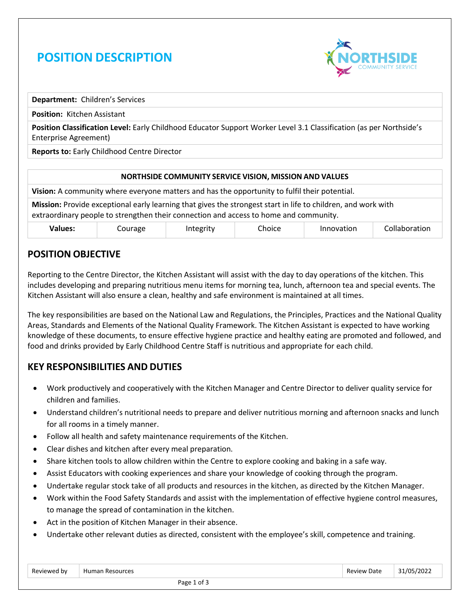# **POSITION DESCRIPTION**



**Department:** Children's Services

**Position:** Kitchen Assistant

**Position Classification Level:** Early Childhood Educator Support Worker Level 3.1 Classification (as per Northside's Enterprise Agreement)

**Reports to:** Early Childhood Centre Director

#### **NORTHSIDE COMMUNITY SERVICE VISION, MISSION AND VALUES**

**Vision:** A community where everyone matters and has the opportunity to fulfil their potential.

**Mission:** Provide exceptional early learning that gives the strongest start in life to children, and work with extraordinary people to strengthen their connection and access to home and community.

| <b>Values:</b> | ourage | Integrity<br>. . | ົhoice ິ | Innovation | , <b>.</b><br>ollaboration |
|----------------|--------|------------------|----------|------------|----------------------------|
|----------------|--------|------------------|----------|------------|----------------------------|

#### **POSITION OBJECTIVE**

Reporting to the Centre Director, the Kitchen Assistant will assist with the day to day operations of the kitchen. This includes developing and preparing nutritious menu items for morning tea, lunch, afternoon tea and special events. The Kitchen Assistant will also ensure a clean, healthy and safe environment is maintained at all times.

The key responsibilities are based on the National Law and Regulations, the Principles, Practices and the National Quality Areas, Standards and Elements of the National Quality Framework. The Kitchen Assistant is expected to have working knowledge of these documents, to ensure effective hygiene practice and healthy eating are promoted and followed, and food and drinks provided by Early Childhood Centre Staff is nutritious and appropriate for each child.

## **KEY RESPONSIBILITIES AND DUTIES**

- Work productively and cooperatively with the Kitchen Manager and Centre Director to deliver quality service for children and families.
- Understand children's nutritional needs to prepare and deliver nutritious morning and afternoon snacks and lunch for all rooms in a timely manner.
- Follow all health and safety maintenance requirements of the Kitchen.
- Clear dishes and kitchen after every meal preparation.
- Share kitchen tools to allow children within the Centre to explore cooking and baking in a safe way.
- Assist Educators with cooking experiences and share your knowledge of cooking through the program.
- Undertake regular stock take of all products and resources in the kitchen, as directed by the Kitchen Manager.
- Work within the Food Safety Standards and assist with the implementation of effective hygiene control measures, to manage the spread of contamination in the kitchen.
- Act in the position of Kitchen Manager in their absence.
- Undertake other relevant duties as directed, consistent with the employee's skill, competence and training.

| Reviewed by | Resources<br>Humar       | Review<br>Date<br>. | א∩ ו<br>/2022<br>____ |
|-------------|--------------------------|---------------------|-----------------------|
|             | ∽÷<br>$D \cap \cap \cap$ |                     |                       |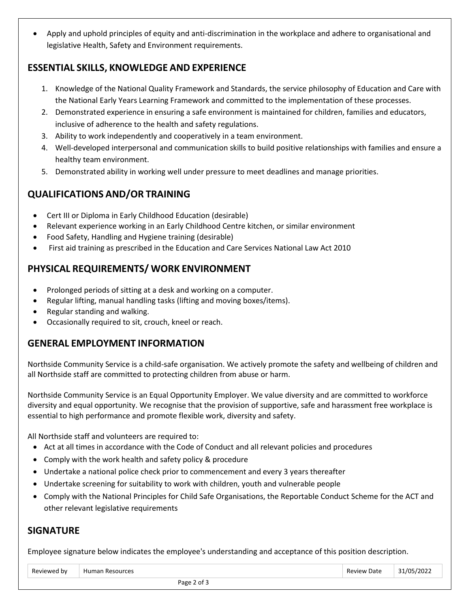• Apply and uphold principles of equity and anti-discrimination in the workplace and adhere to organisational and legislative Health, Safety and Environment requirements.

#### **ESSENTIAL SKILLS, KNOWLEDGE AND EXPERIENCE**

- 1. Knowledge of the National Quality Framework and Standards, the service philosophy of Education and Care with the National Early Years Learning Framework and committed to the implementation of these processes.
- 2. Demonstrated experience in ensuring a safe environment is maintained for children, families and educators, inclusive of adherence to the health and safety regulations.
- 3. Ability to work independently and cooperatively in a team environment.
- 4. Well-developed interpersonal and communication skills to build positive relationships with families and ensure a healthy team environment.
- 5. Demonstrated ability in working well under pressure to meet deadlines and manage priorities.

## **QUALIFICATIONS AND/OR TRAINING**

- Cert III or Diploma in Early Childhood Education (desirable)
- Relevant experience working in an Early Childhood Centre kitchen, or similar environment
- Food Safety, Handling and Hygiene training (desirable)
- First aid training as prescribed in the Education and Care Services National Law Act 2010

## **PHYSICAL REQUIREMENTS/ WORK ENVIRONMENT**

- Prolonged periods of sitting at a desk and working on a computer.
- Regular lifting, manual handling tasks (lifting and moving boxes/items).
- Regular standing and walking.
- Occasionally required to sit, crouch, kneel or reach.

#### **GENERAL EMPLOYMENT INFORMATION**

Northside Community Service is a child-safe organisation. We actively promote the safety and wellbeing of children and all Northside staff are committed to protecting children from abuse or harm.

Northside Community Service is an Equal Opportunity Employer. We value diversity and are committed to workforce diversity and equal opportunity. We recognise that the provision of supportive, safe and harassment free workplace is essential to high performance and promote flexible work, diversity and safety.

All Northside staff and volunteers are required to:

- Act at all times in accordance with the Code of Conduct and all relevant policies and procedures
- Comply with the work health and safety policy & procedure
- Undertake a national police check prior to commencement and every 3 years thereafter
- Undertake screening for suitability to work with children, youth and vulnerable people
- Comply with the National Principles for Child Safe Organisations, the Reportable Conduct Scheme for the ACT and other relevant legislative requirements

#### **SIGNATURE**

Employee signature below indicates the employee's understanding and acceptance of this position description.

| Reviewed by | Human Resources  | <b>Review Date</b> | 31/05/2022 |
|-------------|------------------|--------------------|------------|
|             | Page 2<br>ີ of ∴ |                    |            |